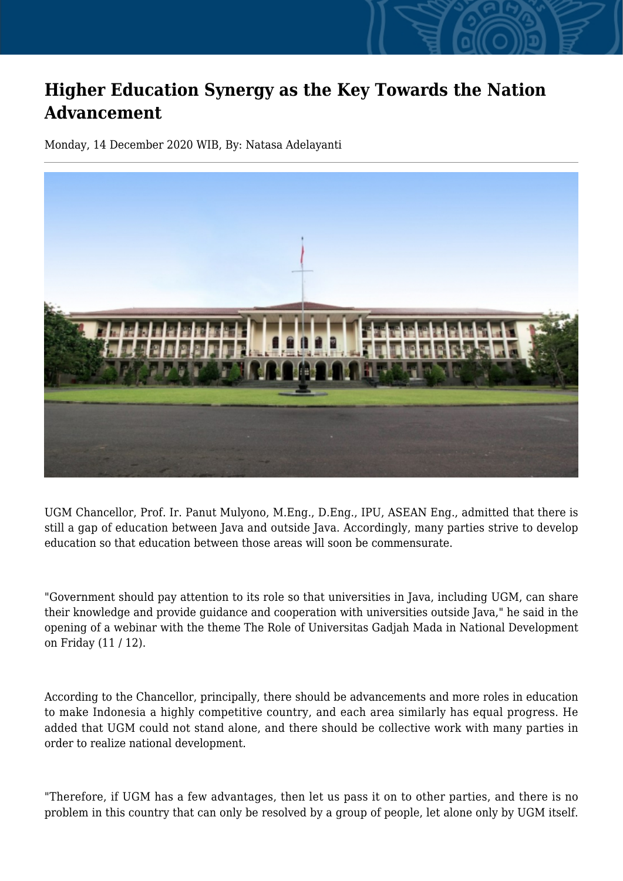## **Higher Education Synergy as the Key Towards the Nation Advancement**

Monday, 14 December 2020 WIB, By: Natasa Adelayanti



UGM Chancellor, Prof. Ir. Panut Mulyono, M.Eng., D.Eng., IPU, ASEAN Eng., admitted that there is still a gap of education between Java and outside Java. Accordingly, many parties strive to develop education so that education between those areas will soon be commensurate.

"Government should pay attention to its role so that universities in Java, including UGM, can share their knowledge and provide guidance and cooperation with universities outside Java," he said in the opening of a webinar with the theme The Role of Universitas Gadjah Mada in National Development on Friday (11 / 12).

According to the Chancellor, principally, there should be advancements and more roles in education to make Indonesia a highly competitive country, and each area similarly has equal progress. He added that UGM could not stand alone, and there should be collective work with many parties in order to realize national development.

"Therefore, if UGM has a few advantages, then let us pass it on to other parties, and there is no problem in this country that can only be resolved by a group of people, let alone only by UGM itself.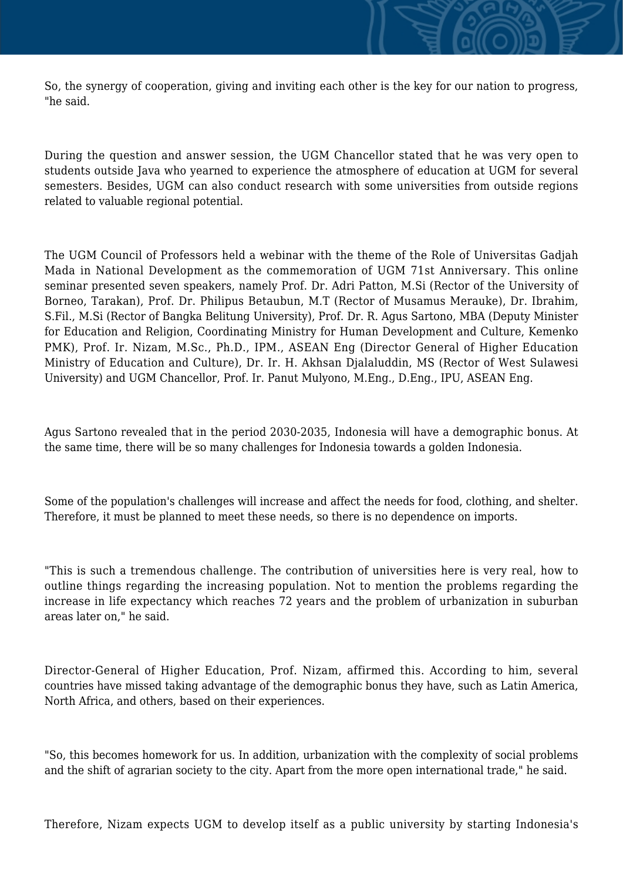So, the synergy of cooperation, giving and inviting each other is the key for our nation to progress, "he said.

During the question and answer session, the UGM Chancellor stated that he was very open to students outside Java who yearned to experience the atmosphere of education at UGM for several semesters. Besides, UGM can also conduct research with some universities from outside regions related to valuable regional potential.

The UGM Council of Professors held a webinar with the theme of the Role of Universitas Gadjah Mada in National Development as the commemoration of UGM 71st Anniversary. This online seminar presented seven speakers, namely Prof. Dr. Adri Patton, M.Si (Rector of the University of Borneo, Tarakan), Prof. Dr. Philipus Betaubun, M.T (Rector of Musamus Merauke), Dr. Ibrahim, S.Fil., M.Si (Rector of Bangka Belitung University), Prof. Dr. R. Agus Sartono, MBA (Deputy Minister for Education and Religion, Coordinating Ministry for Human Development and Culture, Kemenko PMK), Prof. Ir. Nizam, M.Sc., Ph.D., IPM., ASEAN Eng (Director General of Higher Education Ministry of Education and Culture), Dr. Ir. H. Akhsan Djalaluddin, MS (Rector of West Sulawesi University) and UGM Chancellor, Prof. Ir. Panut Mulyono, M.Eng., D.Eng., IPU, ASEAN Eng.

Agus Sartono revealed that in the period 2030-2035, Indonesia will have a demographic bonus. At the same time, there will be so many challenges for Indonesia towards a golden Indonesia.

Some of the population's challenges will increase and affect the needs for food, clothing, and shelter. Therefore, it must be planned to meet these needs, so there is no dependence on imports.

"This is such a tremendous challenge. The contribution of universities here is very real, how to outline things regarding the increasing population. Not to mention the problems regarding the increase in life expectancy which reaches 72 years and the problem of urbanization in suburban areas later on," he said.

Director-General of Higher Education, Prof. Nizam, affirmed this. According to him, several countries have missed taking advantage of the demographic bonus they have, such as Latin America, North Africa, and others, based on their experiences.

"So, this becomes homework for us. In addition, urbanization with the complexity of social problems and the shift of agrarian society to the city. Apart from the more open international trade," he said.

Therefore, Nizam expects UGM to develop itself as a public university by starting Indonesia's